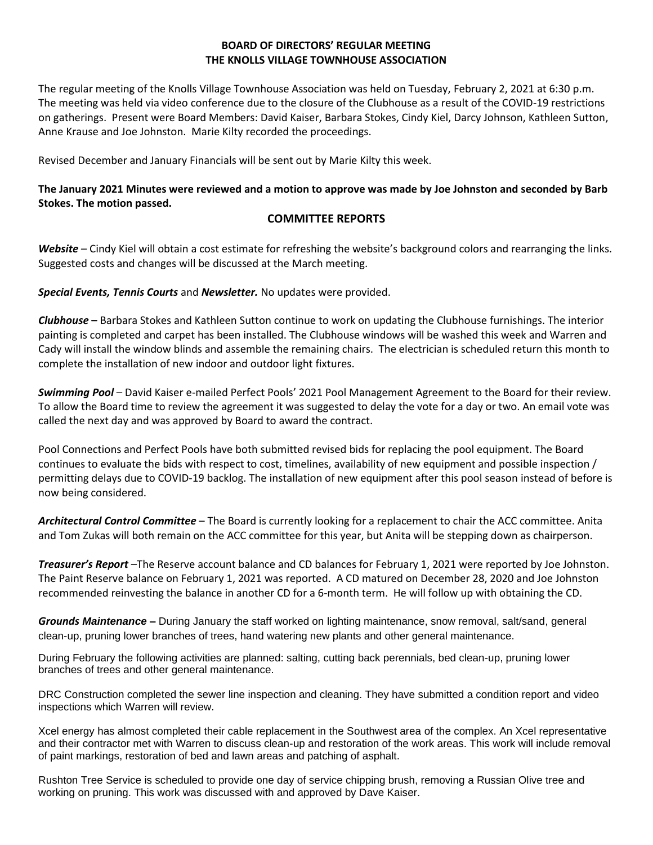## **BOARD OF DIRECTORS' REGULAR MEETING THE KNOLLS VILLAGE TOWNHOUSE ASSOCIATION**

The regular meeting of the Knolls Village Townhouse Association was held on Tuesday, February 2, 2021 at 6:30 p.m. The meeting was held via video conference due to the closure of the Clubhouse as a result of the COVID-19 restrictions on gatherings. Present were Board Members: David Kaiser, Barbara Stokes, Cindy Kiel, Darcy Johnson, Kathleen Sutton, Anne Krause and Joe Johnston. Marie Kilty recorded the proceedings.

Revised December and January Financials will be sent out by Marie Kilty this week.

# **The January 2021 Minutes were reviewed and a motion to approve was made by Joe Johnston and seconded by Barb Stokes. The motion passed.**

### **COMMITTEE REPORTS**

*Website –* Cindy Kiel will obtain a cost estimate for refreshing the website's background colors and rearranging the links. Suggested costs and changes will be discussed at the March meeting.

*Special Events, Tennis Courts* and *Newsletter.* No updates were provided.

*Clubhouse* **–** Barbara Stokes and Kathleen Sutton continue to work on updating the Clubhouse furnishings. The interior painting is completed and carpet has been installed. The Clubhouse windows will be washed this week and Warren and Cady will install the window blinds and assemble the remaining chairs. The electrician is scheduled return this month to complete the installation of new indoor and outdoor light fixtures.

*Swimming Pool* – David Kaiser e-mailed Perfect Pools' 2021 Pool Management Agreement to the Board for their review. To allow the Board time to review the agreement it was suggested to delay the vote for a day or two. An email vote was called the next day and was approved by Board to award the contract.

Pool Connections and Perfect Pools have both submitted revised bids for replacing the pool equipment. The Board continues to evaluate the bids with respect to cost, timelines, availability of new equipment and possible inspection / permitting delays due to COVID-19 backlog. The installation of new equipment after this pool season instead of before is now being considered.

*Architectural Control Committee* – The Board is currently looking for a replacement to chair the ACC committee. Anita and Tom Zukas will both remain on the ACC committee for this year, but Anita will be stepping down as chairperson.

*Treasurer's Report* –The Reserve account balance and CD balances for February 1, 2021 were reported by Joe Johnston. The Paint Reserve balance on February 1, 2021 was reported. A CD matured on December 28, 2020 and Joe Johnston recommended reinvesting the balance in another CD for a 6-month term. He will follow up with obtaining the CD.

*Grounds Maintenance* **–** During January the staff worked on lighting maintenance, snow removal, salt/sand, general clean-up, pruning lower branches of trees, hand watering new plants and other general maintenance.

During February the following activities are planned: salting, cutting back perennials, bed clean-up, pruning lower branches of trees and other general maintenance.

DRC Construction completed the sewer line inspection and cleaning. They have submitted a condition report and video inspections which Warren will review.

Xcel energy has almost completed their cable replacement in the Southwest area of the complex. An Xcel representative and their contractor met with Warren to discuss clean-up and restoration of the work areas. This work will include removal of paint markings, restoration of bed and lawn areas and patching of asphalt.

Rushton Tree Service is scheduled to provide one day of service chipping brush, removing a Russian Olive tree and working on pruning. This work was discussed with and approved by Dave Kaiser.